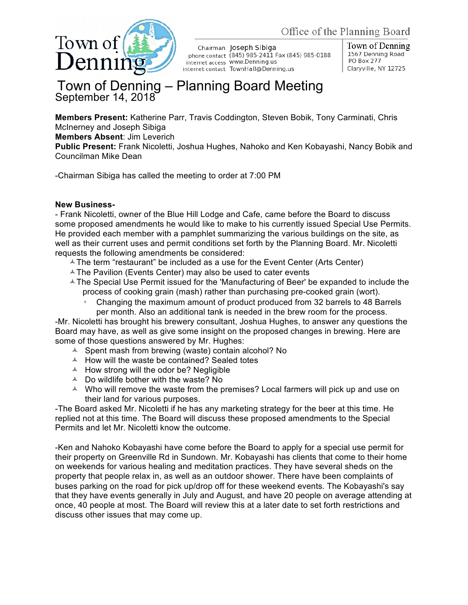

Chairman Joseph Sibiga phone contact (845) 985-2411 Fax (845) 985-0188 internet access WWW.Denning.us internet contact TownHall@Denning.us

Town of Denning 1567 Denning Road PO Box 277 Claryville, NY 12725

## Town of Denning – Planning Board Meeting September 14, 2018

**Members Present:** Katherine Parr, Travis Coddington, Steven Bobik, Tony Carminati, Chris McInerney and Joseph Sibiga

**Members Absent**: Jim Leverich

**Public Present:** Frank Nicoletti, Joshua Hughes, Nahoko and Ken Kobayashi, Nancy Bobik and Councilman Mike Dean

-Chairman Sibiga has called the meeting to order at 7:00 PM

## **New Business-**

- Frank Nicoletti, owner of the Blue Hill Lodge and Cafe, came before the Board to discuss some proposed amendments he would like to make to his currently issued Special Use Permits. He provided each member with a pamphlet summarizing the various buildings on the site, as well as their current uses and permit conditions set forth by the Planning Board. Mr. Nicoletti requests the following amendments be considered:

- $\triangle$  The term "restaurant" be included as a use for the Event Center (Arts Center)
- $\triangle$  The Pavilion (Events Center) may also be used to cater events
- $\triangle$  The Special Use Permit issued for the 'Manufacturing of Beer' be expanded to include the process of cooking grain (mash) rather than purchasing pre-cooked grain (wort).
	- Changing the maximum amount of product produced from 32 barrels to 48 Barrels per month. Also an additional tank is needed in the brew room for the process.

-Mr. Nicoletti has brought his brewery consultant, Joshua Hughes, to answer any questions the Board may have, as well as give some insight on the proposed changes in brewing. Here are some of those questions answered by Mr. Hughes:

- $\triangle$  Spent mash from brewing (waste) contain alcohol? No
- $\triangle$  How will the waste be contained? Sealed totes
- $\triangle$  How strong will the odor be? Negligible
- $\triangle$  Do wildlife bother with the waste? No
- $\sim$  Who will remove the waste from the premises? Local farmers will pick up and use on their land for various purposes.

-The Board asked Mr. Nicoletti if he has any marketing strategy for the beer at this time. He replied not at this time. The Board will discuss these proposed amendments to the Special Permits and let Mr. Nicoletti know the outcome.

-Ken and Nahoko Kobayashi have come before the Board to apply for a special use permit for their property on Greenville Rd in Sundown. Mr. Kobayashi has clients that come to their home on weekends for various healing and meditation practices. They have several sheds on the property that people relax in, as well as an outdoor shower. There have been complaints of buses parking on the road for pick up/drop off for these weekend events. The Kobayashi's say that they have events generally in July and August, and have 20 people on average attending at once, 40 people at most. The Board will review this at a later date to set forth restrictions and discuss other issues that may come up.